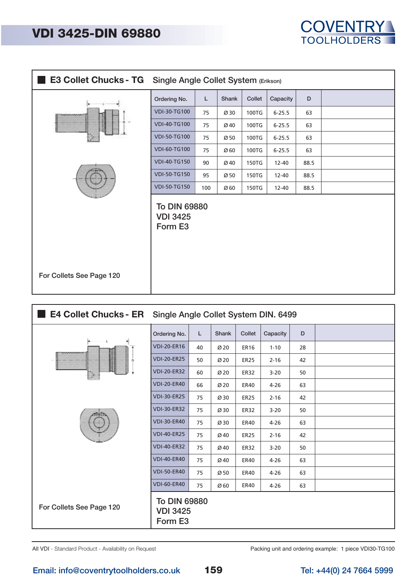## **VDI 3425-DIN 69880**

|                          | E3 Collet Chucks - TG Single Angle Collet System (Erikson) |     |                 |        |            |      |  |  |
|--------------------------|------------------------------------------------------------|-----|-----------------|--------|------------|------|--|--|
|                          | Ordering No.                                               | L   | Shank           | Collet | Capacity   | D    |  |  |
|                          | VDI-30-TG100                                               | 75  | Ø30             | 100TG  | $6 - 25.5$ | 63   |  |  |
|                          | <b>VDI-40-TG100</b>                                        | 75  | Ø40             | 100TG  | $6 - 25.5$ | 63   |  |  |
|                          | <b>VDI-50-TG100</b>                                        | 75  | Ø <sub>50</sub> | 100TG  | $6 - 25.5$ | 63   |  |  |
|                          | <b>VDI-60-TG100</b>                                        | 75  | Ø <sub>60</sub> | 100TG  | $6 - 25.5$ | 63   |  |  |
|                          | <b>VDI-40-TG150</b>                                        | 90  | Ø40             | 150TG  | 12-40      | 88.5 |  |  |
|                          | <b>VDI-50-TG150</b>                                        | 95  | Ø50             | 150TG  | $12 - 40$  | 88.5 |  |  |
|                          | <b>VDI-50-TG150</b>                                        | 100 | Ø60             | 150TG  | 12-40      | 88.5 |  |  |
|                          | <b>To DIN 69880</b><br><b>VDI 3425</b><br>Form E3          |     |                 |        |            |      |  |  |
| For Collets See Page 120 |                                                            |     |                 |        |            |      |  |  |

|                          | E4 Collet Chucks - ER Single Angle Collet System DIN. 6499 |    |                 |             |          |    |  |  |  |
|--------------------------|------------------------------------------------------------|----|-----------------|-------------|----------|----|--|--|--|
|                          | Ordering No.                                               | L  | Shank           | Collet      | Capacity | D  |  |  |  |
| л.<br>www.ww             | <b>VDI-20-ER16</b>                                         | 40 | Ø <sub>20</sub> | <b>ER16</b> | $1 - 10$ | 28 |  |  |  |
| n                        | <b>VDI-20-ER25</b>                                         | 50 | Ø <sub>20</sub> | <b>ER25</b> | $2 - 16$ | 42 |  |  |  |
| P                        | <b>VDI-20-ER32</b>                                         | 60 | Ø <sub>20</sub> | ER32        | $3 - 20$ | 50 |  |  |  |
|                          | <b>VDI-20-ER40</b>                                         | 66 | Ø <sub>20</sub> | <b>ER40</b> | $4 - 26$ | 63 |  |  |  |
|                          | <b>VDI-30-ER25</b>                                         | 75 | Ø30             | <b>ER25</b> | $2 - 16$ | 42 |  |  |  |
|                          | <b>VDI-30-ER32</b>                                         | 75 | Ø30             | <b>ER32</b> | $3 - 20$ | 50 |  |  |  |
|                          | <b>VDI-30-ER40</b>                                         | 75 | Ø30             | <b>ER40</b> | $4 - 26$ | 63 |  |  |  |
|                          | <b>VDI-40-ER25</b>                                         | 75 | Ø40             | <b>ER25</b> | $2 - 16$ | 42 |  |  |  |
|                          | <b>VDI-40-ER32</b>                                         | 75 | Ø40             | <b>ER32</b> | $3 - 20$ | 50 |  |  |  |
|                          | <b>VDI-40-ER40</b>                                         | 75 | Ø40             | <b>ER40</b> | $4 - 26$ | 63 |  |  |  |
|                          | <b>VDI-50-ER40</b>                                         | 75 | Ø50             | <b>ER40</b> | $4 - 26$ | 63 |  |  |  |
|                          | <b>VDI-60-ER40</b>                                         | 75 | Ø60             | <b>ER40</b> | $4 - 26$ | 63 |  |  |  |
| For Collets See Page 120 | To DIN 69880<br><b>VDI 3425</b><br>Form E3                 |    |                 |             |          |    |  |  |  |

All VDI - Standard Product - Availability on Request

Packing unit and ordering example: 1 piece VDI30-TG100

**COVENTRY TOOLHOLDERS**